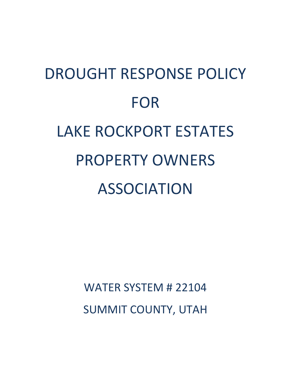# DROUGHT RESPONSE POLICY FOR LAKE ROCKPORT ESTATES PROPERTY OWNERS ASSOCIATION

WATER SYSTEM # 22104 SUMMIT COUNTY, UTAH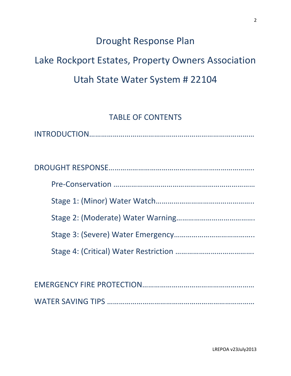## Drought Response Plan

## Lake Rockport Estates, Property Owners Association Utah State Water System # 22104

### TABLE OF CONTENTS

WATER SAVING TIPS …………………………………………………………………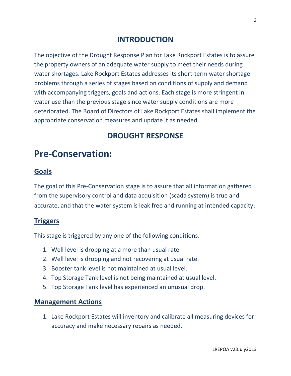#### **INTRODUCTION**

The objective of the Drought Response Plan for Lake Rockport Estates is to assure the property owners of an adequate water supply to meet their needs during water shortages. Lake Rockport Estates addresses its short-term water shortage problems through a series of stages based on conditions of supply and demand with accompanying triggers, goals and actions. Each stage is more stringent in water use than the previous stage since water supply conditions are more deteriorated. The Board of Directors of Lake Rockport Estates shall implement the appropriate conservation measures and update it as needed.

#### **DROUGHT RESPONSE**

## **Pre-Conservation:**

#### **Goals**

The goal of this Pre-Conservation stage is to assure that all information gathered from the supervisory control and data acquisition (scada system) is true and accurate, and that the water system is leak free and running at intended capacity.

#### **Triggers**

This stage is triggered by any one of the following conditions:

- 1. Well level is dropping at a more than usual rate.
- 2. Well level is dropping and not recovering at usual rate.
- 3. Booster tank level is not maintained at usual level.
- 4. Top Storage Tank level is not being maintained at usual level.
- 5. Top Storage Tank level has experienced an unusual drop.

#### **Management Actions**

1. Lake Rockport Estates will inventory and calibrate all measuring devices for accuracy and make necessary repairs as needed.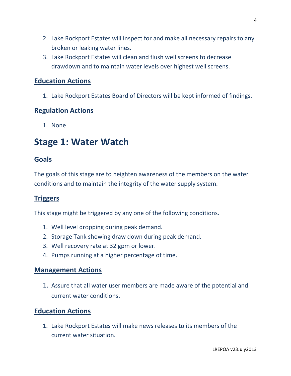- 2. Lake Rockport Estates will inspect for and make all necessary repairs to any broken or leaking water lines.
- 3. Lake Rockport Estates will clean and flush well screens to decrease drawdown and to maintain water levels over highest well screens.

#### **Education Actions**

1. Lake Rockport Estates Board of Directors will be kept informed of findings.

#### **Regulation Actions**

1. None

## **Stage 1: Water Watch**

#### **Goals**

The goals of this stage are to heighten awareness of the members on the water conditions and to maintain the integrity of the water supply system.

#### **Triggers**

This stage might be triggered by any one of the following conditions.

- 1. Well level dropping during peak demand.
- 2. Storage Tank showing draw down during peak demand.
- 3. Well recovery rate at 32 gpm or lower.
- 4. Pumps running at a higher percentage of time.

#### **Management Actions**

1. Assure that all water user members are made aware of the potential and current water conditions.

#### **Education Actions**

1. Lake Rockport Estates will make news releases to its members of the current water situation.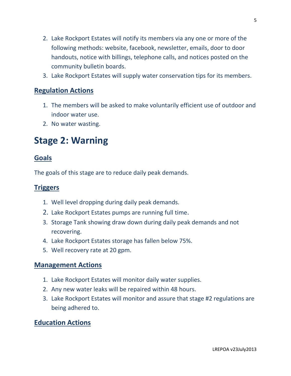- 2. Lake Rockport Estates will notify its members via any one or more of the following methods: website, facebook, newsletter, emails, door to door handouts, notice with billings, telephone calls, and notices posted on the community bulletin boards.
- 3. Lake Rockport Estates will supply water conservation tips for its members.

#### **Regulation Actions**

- 1. The members will be asked to make voluntarily efficient use of outdoor and indoor water use.
- 2. No water wasting.

## **Stage 2: Warning**

#### **Goals**

The goals of this stage are to reduce daily peak demands.

#### **Triggers**

- 1. Well level dropping during daily peak demands.
- 2. Lake Rockport Estates pumps are running full time.
- 3. Storage Tank showing draw down during daily peak demands and not recovering.
- 4. Lake Rockport Estates storage has fallen below 75%.
- 5. Well recovery rate at 20 gpm.

#### **Management Actions**

- 1. Lake Rockport Estates will monitor daily water supplies.
- 2. Any new water leaks will be repaired within 48 hours.
- 3. Lake Rockport Estates will monitor and assure that stage #2 regulations are being adhered to.

#### **Education Actions**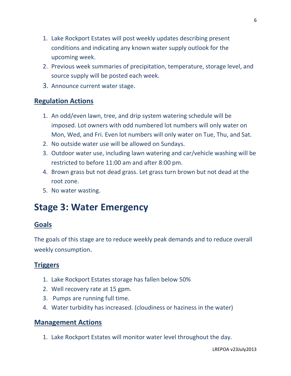- 1. Lake Rockport Estates will post weekly updates describing present conditions and indicating any known water supply outlook for the upcoming week.
- 2. Previous week summaries of precipitation, temperature, storage level, and source supply will be posted each week.
- 3. Announce current water stage.

#### **Regulation Actions**

- 1. An odd/even lawn, tree, and drip system watering schedule will be imposed. Lot owners with odd numbered lot numbers will only water on Mon, Wed, and Fri. Even lot numbers will only water on Tue, Thu, and Sat.
- 2. No outside water use will be allowed on Sundays.
- 3. Outdoor water use, including lawn watering and car/vehicle washing will be restricted to before 11:00 am and after 8:00 pm.
- 4. Brown grass but not dead grass. Let grass turn brown but not dead at the root zone.
- 5. No water wasting.

## **Stage 3: Water Emergency**

#### **Goals**

The goals of this stage are to reduce weekly peak demands and to reduce overall weekly consumption.

#### **Triggers**

- 1. Lake Rockport Estates storage has fallen below 50%
- 2. Well recovery rate at 15 gpm.
- 3. Pumps are running full time.
- 4. Water turbidity has increased. (cloudiness or haziness in the water)

#### **Management Actions**

1. Lake Rockport Estates will monitor water level throughout the day.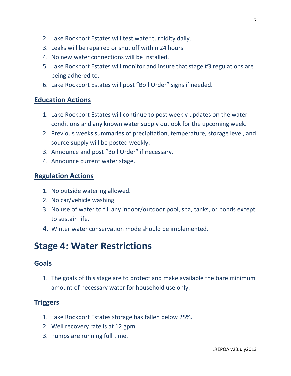- 2. Lake Rockport Estates will test water turbidity daily.
- 3. Leaks will be repaired or shut off within 24 hours.
- 4. No new water connections will be installed.
- 5. Lake Rockport Estates will monitor and insure that stage #3 regulations are being adhered to.
- 6. Lake Rockport Estates will post "Boil Order" signs if needed.

#### **Education Actions**

- 1. Lake Rockport Estates will continue to post weekly updates on the water conditions and any known water supply outlook for the upcoming week.
- 2. Previous weeks summaries of precipitation, temperature, storage level, and source supply will be posted weekly.
- 3. Announce and post "Boil Order" if necessary.
- 4. Announce current water stage.

#### **Regulation Actions**

- 1. No outside watering allowed.
- 2. No car/vehicle washing.
- 3. No use of water to fill any indoor/outdoor pool, spa, tanks, or ponds except to sustain life.
- 4. Winter water conservation mode should be implemented.

## **Stage 4: Water Restrictions**

#### **Goals**

1. The goals of this stage are to protect and make available the bare minimum amount of necessary water for household use only.

#### **Triggers**

- 1. Lake Rockport Estates storage has fallen below 25%.
- 2. Well recovery rate is at 12 gpm.
- 3. Pumps are running full time.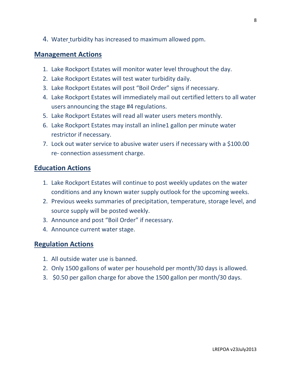4. Water turbidity has increased to maximum allowed ppm.

#### **Management Actions**

- 1. Lake Rockport Estates will monitor water level throughout the day.
- 2. Lake Rockport Estates will test water turbidity daily.
- 3. Lake Rockport Estates will post "Boil Order" signs if necessary.
- 4. Lake Rockport Estates will immediately mail out certified letters to all water users announcing the stage #4 regulations.
- 5. Lake Rockport Estates will read all water users meters monthly.
- 6. Lake Rockport Estates may install an inline1 gallon per minute water restrictor if necessary.
- 7. Lock out water service to abusive water users if necessary with a \$100.00 re- connection assessment charge.

#### **Education Actions**

- 1. Lake Rockport Estates will continue to post weekly updates on the water conditions and any known water supply outlook for the upcoming weeks.
- 2. Previous weeks summaries of precipitation, temperature, storage level, and source supply will be posted weekly.
- 3. Announce and post "Boil Order" if necessary.
- 4. Announce current water stage.

#### **Regulation Actions**

- 1. All outside water use is banned.
- 2. Only 1500 gallons of water per household per month/30 days is allowed.
- 3. \$0.50 per gallon charge for above the 1500 gallon per month/30 days.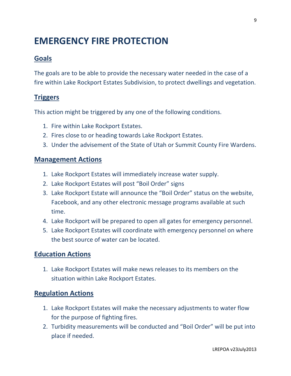## **EMERGENCY FIRE PROTECTION**

#### **Goals**

The goals are to be able to provide the necessary water needed in the case of a fire within Lake Rockport Estates Subdivision, to protect dwellings and vegetation.

#### **Triggers**

This action might be triggered by any one of the following conditions.

- 1. Fire within Lake Rockport Estates.
- 2. Fires close to or heading towards Lake Rockport Estates.
- 3. Under the advisement of the State of Utah or Summit County Fire Wardens.

#### **Management Actions**

- 1. Lake Rockport Estates will immediately increase water supply.
- 2. Lake Rockport Estates will post "Boil Order" signs
- 3. Lake Rockport Estate will announce the "Boil Order" status on the website, Facebook, and any other electronic message programs available at such time.
- 4. Lake Rockport will be prepared to open all gates for emergency personnel.
- 5. Lake Rockport Estates will coordinate with emergency personnel on where the best source of water can be located.

#### **Education Actions**

1. Lake Rockport Estates will make news releases to its members on the situation within Lake Rockport Estates.

#### **Regulation Actions**

- 1. Lake Rockport Estates will make the necessary adjustments to water flow for the purpose of fighting fires.
- 2. Turbidity measurements will be conducted and "Boil Order" will be put into place if needed.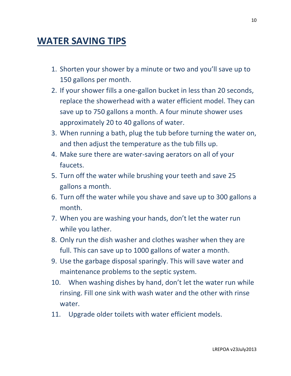## **WATER SAVING TIPS**

- 1. Shorten your shower by a minute or two and you'll save up to 150 gallons per month.
- 2. If your shower fills a one-gallon bucket in less than 20 seconds, replace the showerhead with a water efficient model. They can save up to 750 gallons a month. A four minute shower uses approximately 20 to 40 gallons of water.
- 3. When running a bath, plug the tub before turning the water on, and then adjust the temperature as the tub fills up.
- 4. Make sure there are water-saving aerators on all of your faucets.
- 5. Turn off the water while brushing your teeth and save 25 gallons a month.
- 6. Turn off the water while you shave and save up to 300 gallons a month.
- 7. When you are washing your hands, don't let the water run while you lather.
- 8. Only run the dish washer and clothes washer when they are full. This can save up to 1000 gallons of water a month.
- 9. Use the garbage disposal sparingly. This will save water and maintenance problems to the septic system.
- 10. When washing dishes by hand, don't let the water run while rinsing. Fill one sink with wash water and the other with rinse water.
- 11. Upgrade older toilets with water efficient models.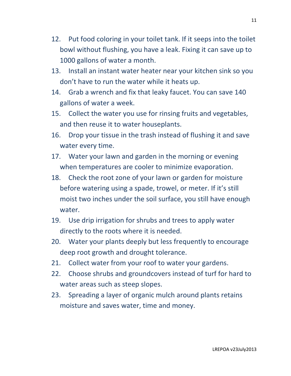- 12. Put food coloring in your toilet tank. If it seeps into the toilet bowl without flushing, you have a leak. Fixing it can save up to 1000 gallons of water a month.
- 13. Install an instant water heater near your kitchen sink so you don't have to run the water while it heats up.
- 14. Grab a wrench and fix that leaky faucet. You can save 140 gallons of water a week.
- 15. Collect the water you use for rinsing fruits and vegetables, and then reuse it to water houseplants.
- 16. Drop your tissue in the trash instead of flushing it and save water every time.
- 17. Water your lawn and garden in the morning or evening when temperatures are cooler to minimize evaporation.
- 18. Check the root zone of your lawn or garden for moisture before watering using a spade, trowel, or meter. If it's still moist two inches under the soil surface, you still have enough water.
- 19. Use drip irrigation for shrubs and trees to apply water directly to the roots where it is needed.
- 20. Water your plants deeply but less frequently to encourage deep root growth and drought tolerance.
- 21. Collect water from your roof to water your gardens.
- 22. Choose shrubs and groundcovers instead of turf for hard to water areas such as steep slopes.
- 23. Spreading a layer of organic mulch around plants retains moisture and saves water, time and money.